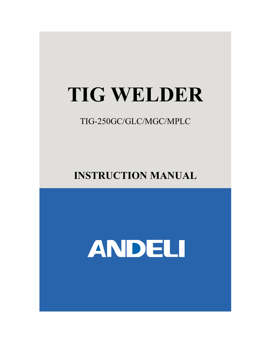## **TIG WELDER**

TIG-250GC/GLC/MGC/MPLC

**INSTRUCTION MANUAL**

# ANDELI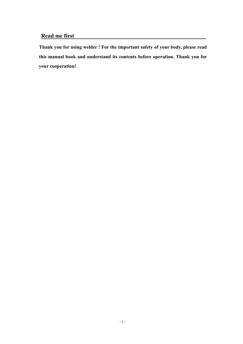#### **Read me first**

**Thank you for using welder ! For the important safety of your body, please read this manual book and understand its contents before operation. Thank you for your cooperation!**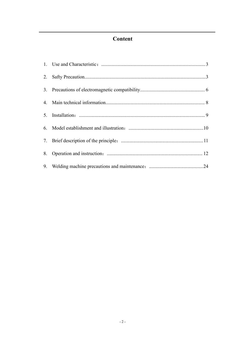## **Content**

| 2. |  |
|----|--|
|    |  |
|    |  |
|    |  |
|    |  |
|    |  |
| 8. |  |
| 9. |  |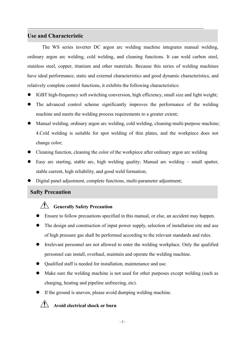#### **Use and Characteristic**

The WS series inverter DC argon arc welding machine integrates manual welding, ordinary argon arc welding, cold welding, and cleaning functions. It can weld carbon steel, stainless steel, copper, titanium and other materials. Because this series of welding machines have ideal performance, static and external characteristics and good dynamic characteristics, and relatively complete control functions, it exhibits the following characteristics:

- IGBT high-frequency soft switching conversion, high efficiency, small size and light weight;
- The advanced control scheme significantly improves the performance of the welding machine and meets the welding process requirements to a greater extent;
- Manual welding, ordinary argon arc welding, cold welding, cleaning-multi-purpose machine; 4.Cold welding is suitable for spot welding of thin plates, and the workpiece does not change color;
- Cleaning function, cleaning the color of the workpiece after ordinary argon arc welding
- Easy arc starting, stable arc, high welding quality; Manual arc welding  $\sim$  small spatter, stable current, high reliability, and good weld formation;
- Digital panel adjustment, complete functions, multi-parameter adjustment;

#### **Safty Precaution**

## **Generally Safety Precaution**

- Ensure to follow precautions specified in this manual, or else, an accident may happen.
- The design and construction of input power supply, selection of installation site and use of high pressure gas shall be performed according to the relevant standards and rules.
- Irrelevant personnel are not allowed to enter the welding workplace.Only the qualified personnel can install, overhaul, maintain and operate the welding machine.
- Qualified staff is needed for installation, maintenance and use.
- Make sure the welding machine is not used for other purposes except welding (such as charging, heating and pipeline unfreezing, etc).
- If the ground is uneven, please avoid dumping welding machine.

## **Avoid electrical shock or burn**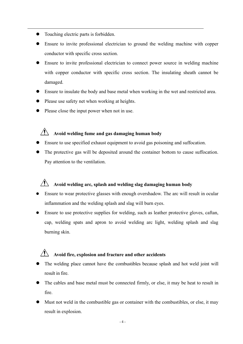- Touching electric parts is forbidden.
- Ensure to invite professional electrician to ground the welding machine with copper conductor with specific cross section.
- Ensure to invite professional electrician to connect power source in welding machine with copper conductor with specific cross section. The insulating sheath cannot be damaged.
- Ensure to insulate the body and base metal when working in the wet and restricted area.
- Please use safety net when working at heights.
- Please close the input power when not in use.

## **Avoid welding fume and gas damaging human body**

- Ensure to use specified exhaust equipment to avoid gas poisoning and suffocation.
- The protective gas will be deposited around the container bottom to cause suffocation. Pay attention to the ventilation.

## **Avoid welding arc, splash and welding slag damaging human body**

- Ensure to wear protective glasses with enough overshadow. The arc will result in ocular inflammation and the welding splash and slag will burn eyes.
- Ensure to use protective supplies for welding, such as leather protective gloves, caftan, cap, welding spats and apron to avoid welding arc light, welding splash and slag burning skin.

## **Avoid fire, explosion and fracture and other accidents**

- The welding place cannot have the combustibles because splash and hot weld joint will result in fire.
- The cables and base metal must be connected firmly, or else, it may be heat to result in fire.
- Must not weld in the combustible gas or container with the combustibles, or else, it may result in explosion.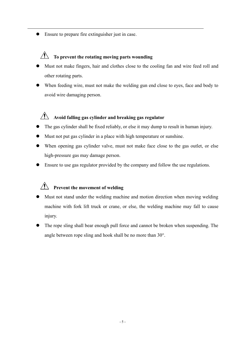Ensure to prepare fire extinguisher just in case.

## **To prevent the rotating moving parts wounding**

- Must not make fingers, hair and clothes close to the cooling fan and wire feed roll and other rotating parts.
- When feeding wire, must not make the welding gun end close to eyes, face and body to avoid wire damaging person.

## **Avoid falling gas cylinder and breaking gas regulator**

- The gas cylinder shall be fixed reliably, or else it may dump to result in human injury.
- Must not put gas cylinder in a place with high temperature or sunshine.
- When opening gas cylinder valve, must not make face close to the gas outlet, or else high-pressure gas may damage person.
- Ensure to use gas regulator provided by the company and follow the use regulations.

## **Prevent the movement of welding**

- Must not stand under the welding machine and motion direction when moving welding machine with fork lift truck or crane, or else, the welding machine may fall to cause injury.
- The rope sling shall bear enough pull force and cannot be broken when suspending. The angle between rope sling and hook shall be no more than 30°.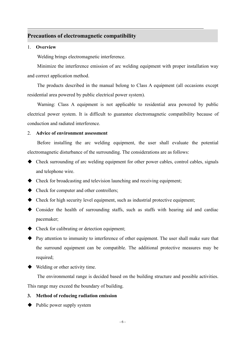#### **Precautions of electromagnetic compatibility**

#### 1. **Overview**

Welding brings electromagnetic interference.

Minimize the interference emission of arc welding equipment with proper installation way and correct application method.

The products described in the manual belong to Class A equipment (all occasions except residential area powered by public electrical power system).

Warning: Class A equipment is not applicable to residential area powered by public electrical power system. It is difficult to guarantee electromagnetic compatibility because of conduction and radiated interference.

#### 2. **Advice of environment assessment**

Before installing the arc welding equipment, the user shall evaluate the potential electromagnetic disturbance of the surrounding. The considerations are as follows:

- Check surrounding of arc welding equipment for other power cables, control cables, signals and telephone wire.
- $\blacklozenge$  Check for broadcasting and television launching and receiving equipment;
- ◆ Check for computer and other controllers;
- $\blacklozenge$  Check for high security level equipment, such as industrial protective equipment;
- Consider the health of surrounding staffs, such as staffs with hearing aid and cardiac pacemaker;
- $\triangleright$  Check for calibrating or detection equipment;
- Pay attention to immunity to interference of other equipment. The user shall make sure that the surround equipment can be compatible. The additional protective measures may be required;
- Welding or other activity time.

The environmental range is decided based on the building structure and possible activities. This range may exceed the boundary of building.

#### **3. Method of reducing radiation emission**

 $\blacklozenge$  Public power supply system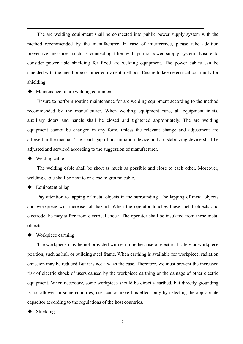The arc welding equipment shall be connected into public power supply system with the method recommended by the manufacturer. In case of interference, please take addition preventive measures, such as connecting filter with public power supply system. Ensure to consider power able shielding for fixed arc welding equipment. The power cables can be shielded with the metal pipe or other equivalent methods. Ensure to keep electrical continuity for shielding.

 $\blacklozenge$  Maintenance of arc welding equipment

Ensure to perform routine maintenance for arc welding equipment according to the method recommended by the manufacturer. When welding equipment runs, all equipment inlets, auxiliary doors and panels shall be closed and tightened appropriately. The arc welding equipment cannot be changed in any form, unless the relevant change and adjustment are allowed in the manual. The spark gap of arc initiation device and arc stabilizing device shall be adjusted and serviced according to the suggestion of manufacturer.

 $\blacklozenge$  Welding cable

The welding cable shall be short as much as possible and close to each other. Moreover, welding cable shall be next to or close to ground cable.

Equipotential lap

Pay attention to lapping of metal objects in the surrounding. The lapping of metal objects and workpiece will increase job hazard. When the operator touches these metal objects and electrode, he may suffer from electrical shock. The operator shall be insulated from these metal objects.

◆ Workpiece earthing

The workpiece may be not provided with earthing because of electrical safety or workpiece position, such as hull or building steel frame. When earthing is available for workpiece, radiation emission may be reduced.But it is not always the case. Therefore, we must prevent the increased risk of electric shock of users caused by the workpiece earthing or the damage of other electric equipment. When necessary, some workpiece should be directly earthed, but directly grounding is not allowed in some countries, user can achieve this effect only by selecting the appropriate capacitor according to the regulations of the host countries.

Shielding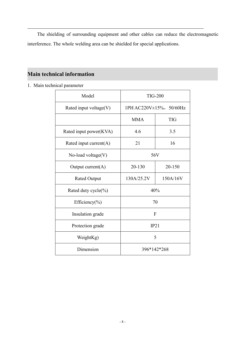The shielding of surrounding equipment and other cables can reduce the electromagnetic interference. The whole welding area can be shielded for special applications.

## **Main technical information**

1. Main technical parameter

| Model                     | <b>TIG-200</b>            |            |  |
|---------------------------|---------------------------|------------|--|
| Rated input voltage(V)    | 1PH AC220V±15%, 50/60Hz   |            |  |
|                           | <b>MMA</b>                | <b>TIG</b> |  |
| Rated input power(KVA)    | 4.6                       | 3.5        |  |
| Rated input current $(A)$ | 21                        | 16         |  |
| No-load voltage(V)        | 56V                       |            |  |
| Output current(A)         | 20-130                    | 20-150     |  |
| <b>Rated Output</b>       | 130A/25.2V                | 150A/16V   |  |
| Rated duty cycle(%)       | 40%                       |            |  |
| Efficiency(%)             | 70                        |            |  |
| Insulation grade          | $\boldsymbol{\mathrm{F}}$ |            |  |
| Protection grade          | IP21                      |            |  |
| WeightKg)                 | 5                         |            |  |
| Dimension                 | 396*142*268               |            |  |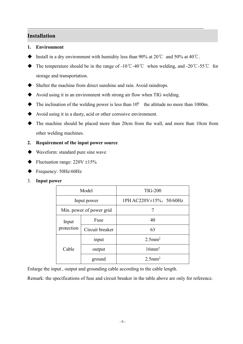#### **Installation**

#### **1. Environment**

- Install in a dry environment with humidity less than 90% at 20℃ and 50% at 40℃.
- The temperature should be in the range of -10 °C -40 °C when welding, and -20 °C -55 °C for storage and transportation.
- Shelter the machine from direct sunshine and rain.Avoid raindrops.
- $\blacklozenge$  Avoid using it in an environment with strong air flow when TIG welding.
- $\blacklozenge$  The inclination of the welding power is less than  $10^0$  the altitude no more than 1000m.
- Avoid using it in a dusty, acid or other corrosive environment.
- The machine should be placed more than 20cm from the wall, and more than 10cm from other welding machines.

#### **2. Requirement of the input power source**

- Waveform: standard pure sine wave
- $\blacklozenge$  Fluctuation range: 220V  $\pm 15\%$
- Frequency: 50Hz/60Hz
- 3. **Input power**

| Model                    |                 | <b>TIG-200</b>                |  |  |  |
|--------------------------|-----------------|-------------------------------|--|--|--|
| Input power              |                 | 1PH AC220V $\pm$ 15%, 50/60Hz |  |  |  |
| Min. power of power grid |                 |                               |  |  |  |
| Input                    | Fuse            | 40                            |  |  |  |
| protection               | Circuit breaker | 63                            |  |  |  |
|                          | input           | $2.5$ mm <sup>2</sup>         |  |  |  |
| Cable                    | output          | $16$ mm <sup>2</sup>          |  |  |  |
|                          | ground          | $2.5$ mm <sup>2</sup>         |  |  |  |

Enlarge the input, output and grounding cable according to the cable length.

Remark: the specifications of fuse and circuit breaker in the table above are only for reference.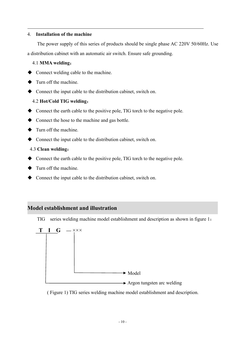#### 4. **Installation of the machine**

The power supply of this series of products should be single phase AC 220V 50/60Hz. Use a distribution cabinet with an automatic air switch. Ensure safe grounding.

#### 4.1 **MMA welding**:

- Connect welding cable to the machine.
- $\blacklozenge$  Turn off the machine.
- Connect the input cable to the distribution cabinet, switch on.

#### 4.2 **Hot/Cold TIG welding**:

- Connect the earth cable to the positive pole, TIG torch to the negative pole.
- $\blacklozenge$  Connect the hose to the machine and gas bottle.
- Turn off the machine.
- Connect the input cable to the distribution cabinet, switch on.

#### 4.3 **Clean welding**:

- Connect the earth cable to the positive pole, TIG torch to the negative pole.
- $\blacklozenge$  Turn off the machine.
- Connect the input cable to the distribution cabinet, switch on.

#### **Model establishment and illustration**

TIG series welding machine model establishment and description as shown in figure 1:



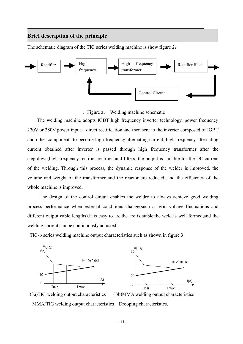#### **Brief description of the principle**

The schematic diagram of the TIG series welding machine is show figure 2:



( Figure 2) Welding machine schematic

The welding machine adopts IGBT high frequency inverter technology, power frequency 220V or 380V power input, direct rectification and then sent to the inverter composed of IGBT and other components to become high frequency alternating current, high frequency alternating current obtained after inverter is passed through high frequency transformer after the step-down,high frequency rectifier rectifies and filters, the output is suitable for the DC current of the welding. Through this process, the dynamic response of the welder is improved, the volume and weight of the transformer and the reactor are reduced, and the efficiency of the whole machine is improved.

The design of the control circuit enables the welder to always achieve good welding process performance when external conditions change(such as grid voltage fluctuations and different output cable lengths).It is easy to arc,the are is stable,the weld is well formed,and the welding current can be continuously adjusted.

TIG-p series welding machine output characteristics such as shown in figure 3:



(3a)TIG welding output characteristics (3b)MMA welding output characteristics MMA/TIG welding output characteristics: Drooping characteristics.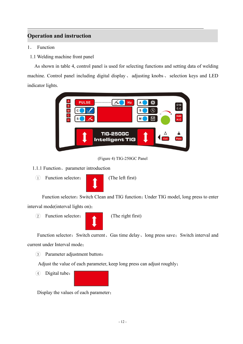## **Operation and instruction**

- 1. Function
- 1.1 Welding machine front panel

As shown in table 4, control panel is used for selecting functions and setting data of welding machine. Control panel including digital display, adjusting knobs, selection keys and LED indicator lights.



(Figure 4) TIG-250GC Panel

- 1.1.1 Function、parameter introduction
	- 1 Function selector: (The left first)



Function selector: Switch Clean and TIG function; Under TIG model, long press to enter interval mode(interval lights on);

2 Function selector: (The right first)



Function selector: Switch current, Gas time delay, long press save; Switch interval and current under Interval mode;

3 Parameter adjustment button:

Adjust the value of each parameter, keep long press can adjust roughly;

 $(4)$  Digital tube:



Display the values of each parameter;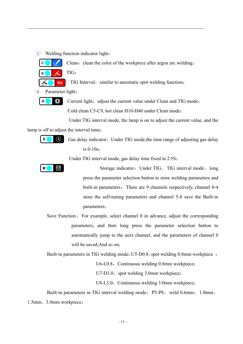$(5)$  Welding function indicator light:

Clean, clean the color of the workpiece after argon arc welding; TIG;

TIG Interval, similar to automatic spot welding function;

6 Parameter light:

 $\odot$ 

**Hz** 

 $\mathbf c$ 

 $\mathbf{s}$ 

 $\mathbf{A}$ 

Current light; adjust the current value under Clean and TIG mode; Cold clean C5-C9, hot clean H10-H40 under Clean mode;

Under TIG interval mode, the lamp is on to adjust the current value, and the

lamp is off to adjust the interval time;



Gas delay indicator; Under TIG mode, the time range of adjusting gas delay is 0-10s;

Under TIG interval mode, gas delay time fixed in 2.5S;



Storage indicator; Under TIG, TIG interval mode, long press the parameter selection button to store welding parameters and built-in parameters; There are 9 channels respectively, channel 0-4 store the self-tuning parameters and channel 5-8 save the Built-in parameters;

Save Function: For example, select channel  $\theta$  in advance, adjust the corresponding parameters, and then long press the parameter selection button to automatically jump to the next channel, and the parameters of channel 0 will be saved;And so on;

Built-in parameters in TIG welding mode: U5-D0.8, spot welding 0.8mm workpiece;

U6-L0.8, Continuous welding 0.8mm workpiece;

U7-D3.0, spot welding 3.0mm workpiece;

U8-L3.0, Continuous welding 3.0mm workpiece;

Built-in parameters in TIG interval welding mode: P5-P8, weld 0.6mm, 1.0mm, 1.5mm, 3.0mm workpiece;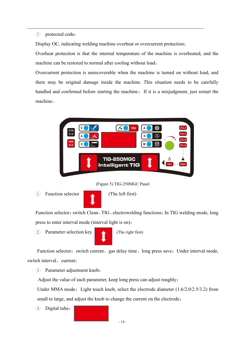#### 7 protected code:

Display OC, indicating welding machine overheat or overcurrent protection;

Overheat protection is that the internal temperature of the machine is overheated, and the machine can be restored to normal after cooling without load;

Overcurrent protection is unrecoverable when the machine is turned on without load, and there may be original damage inside the machine. This situation needs to be carefully handled and confirmed before starting the machine; If it is a misjudgment, just restart the machine。



(Figure 5) TIG-250MGC Panel

1 Function selector (The left first)



Function selector: switch Clean, TIG, electrowelding functions; In TIG welding mode, long press to enter interval mode (interval light is on);

2 Parameter selection key (The right first)

Function selector: switch current, gas delay time, long press save; Under interval mode, switch interval, current:

3 Parameter adjustment knob:

Adjust the value of each parameter, keep long press can adjust roughly;

Under MMA mode: Light touch knob, select the electrode diameter  $(1.6/2.0/2.5/3.2)$  from small to large, and adjust the knob to change the current on the electrode;

 $(4)$  Digital tube:

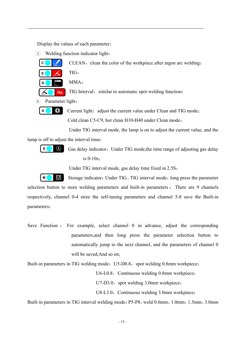Display the values of each parameter;

 $(5)$  Welding function indicator light:



CLEAN, clean the color of the workpiece after argon arc welding;

TIG;

MMA;

Hz TIG Interval, similar to automatic spot welding function;

6 Parameter light:



Current light; adjust the current value under Clean and TIG mode; Cold clean C5-C9, hot clean H10-H40 under Clean mode;

Under TIG interval mode, the lamp is on to adjust the current value, and the

lamp is off to adjust the interval time;



Gas delay indicator; Under TIG mode, the time range of adjusting gas delay is 0-10s;

Under TIG interval mode, gas delay time fixed in 2.5S;

 $M$ 凹 Storage indicator; Under TIG, TIG interval mode, long press the parameter selection button to store welding parameters and built-in parameters ; There are 9 channels respectively, channel 0-4 store the self-tuning parameters and channel 5-8 save the Built-in parameters;

Save Function : For example, select channel 0 in advance, adjust the corresponding parameters,and then long press the parameter selection button to automatically jump to the next channel, and the parameters of channel 0 will be saved;And so on;

Built-in parameters in TIG welding mode: U5-D0.8, spot welding 0.8mm workpiece;

U6-L0.8, Continuous welding 0.8mm workpiece;

U7-D3.0, spot welding 3.0mm workpiece;

U8-L3.0, Continuous welding 3.0mm workpiece;

Built-in parameters in TIG interval welding mode: P5-P8, weld 0.6mm, 1.0mm, 1.5mm, 3.0mm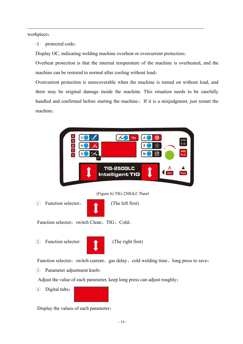workpiece;

8 protected code:

Display OC, indicating welding machine overheat or overcurrent protection;

Overheat protection is that the internal temperature of the machine is overheated, and the machine can be restored to normal after cooling without load;

Overcurrent protection is unrecoverable when the machine is turned on without load, and there may be original damage inside the machine. This situation needs to be carefully handled and confirmed before starting the machine; If it is a misjudgment, just restart the machine。



Function selector: switch current、gas delay、cold welding time、long press to save;

3 Parameter adjustment knob:

Adjust the value of each parameter, keep long press can adjust roughly;

4 Digital tube:



Display the values of each parameter;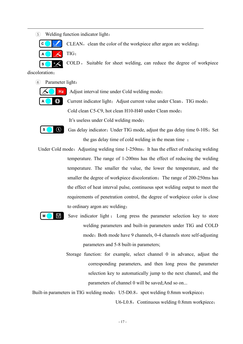5 Welding function indicator light:



CLEAN, clean the color of the workpiece after argon arc welding;

TIG;

COLD , Suitable for sheet welding, can reduce the degree of workpiece

discoloration;

 $\mathbf{s}$ 

6 Parameter light:

**Hz** Adjust interval time under Cold welding mode;



 $\mathbf{s}$ 

M

Current indicator light; Adjust current value under Clean、TIG mode; Cold clean C5-C9, hot clean H10-H40 under Clean mode;

It's useless under Cold welding mode;



- Under Cold mode: Adjusting welding time 1-250ms, It has the effect of reducing welding temperature. The range of 1-200ms has the effect of reducing the welding temperature. The smaller the value, the lower the temperature, and the smaller the degree of workpiece discoloration; The range of 200-250ms has the effect of heat interval pulse, continuous spot welding output to meet the requirements of penetration control, the degree of workpiece color is close to ordinary argon arc welding;
	- е Save indicator light ; Long press the parameter selection key to store welding parameters and built-in parameters under TIG and COLD mode; Both mode have 9 channels, 0-4 channels store self-adjusting parameters and 5-8 built-in parameters;
		- Storage function: for example, select channel 0 in advance, adjust the corresponding parameters, and then long press the parameter selection key to automatically jump to the next channel, and the parameters of channel 0 will be saved; And so on...

Built-in parameters in TIG welding mode: U5-D0.8, spot welding 0.8mm workpiece;

U6-L0.8, Continuous welding 0.8mm workpiece;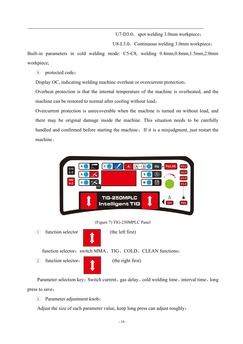U7-D3.0, spot welding 3.0mm workpiece;

U8-L3.0, Continuous welding 3.0mm workpiece;

Built-in parameters in cold welding mode: C5-C8, welding 0.4mm,0.8mm,1.5mm,2.0mm workpiece;

9 protected code:

Display OC, indicating welding machine overheat or overcurrent protection;

Overheat protection is that the internal temperature of the machine is overheated, and the machine can be restored to normal after cooling without load;

Overcurrent protection is unrecoverable when the machine is turned on without load, and there may be original damage inside the machine. This situation needs to be carefully handled and confirmed before starting the machine; If it is a misjudgment, just restart the machine。



Parameter selection key: Switch current, gas delay, cold welding time, interval time, long press to save;

3 Parameter adjustment knob:

Adjust the size of each parameter value, keep long press can adjust roughly;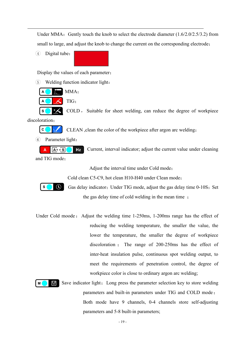Under MMA: Gently touch the knob to select the electrode diameter  $(1.6/2.0/2.5/3.2)$  from small to large, and adjust the knob to change the current on the corresponding electrode;

(4) Digital tube:

Display the values of each parameter;

5 Welding function indicator light:



COLD , Suitable for sheet welding, can reduce the degree of workpiece

discoloration;

 $\mathbf{s}$ 



CLEAN , clean the color of the workpiece after argon arc welding;

6 Parameter light:

 $A \rightarrow -S$ Hz Current, interval indicator; adjust the current value under cleaning and TIG mode;

Adjust the interval time under Cold mode;

Cold clean C5-C9, hot clean H10-H40 under Clean mode;



 $\mathsf{M}\xspace$ 

凹

Gas delay indicator; Under TIG mode, adjust the gas delay time 0-10S; Set the gas delay time of cold welding in the mean time;

Under Cold moode: Adjust the welding time 1-250ms, 1-200ms range has the effect of reducing the welding temperature, the smaller the value, the lower the temperature, the smaller the degree of workpiece discoloration ; The range of 200-250ms has the effect of inter-heat insulation pulse, continuous spot welding output, to meet the requirements of penetration control, the degree of workpiece color is close to ordinary argon arc welding;

> Save indicator light; Long press the parameter selection key to store welding parameters and built-in parameters under TIG and COLD mode; Both mode have 9 channels, 0-4 channels store self-adjusting parameters and 5-8 built-in parameters;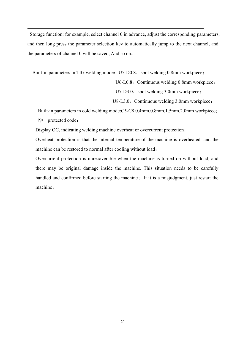Storage function: for example, select channel 0 in advance, adjust the corresponding parameters, and then long press the parameter selection key to automatically jump to the next channel, and the parameters of channel 0 will be saved; And so on...

Built-in parameters in TIG welding mode: U5-D0.8, spot welding 0.8mm workpiece;

U6-L0.8, Continuous welding 0.8mm workpiece;

U7-D3.0, spot welding 3.0mm workpiece;

U8-L3.0, Continuous welding 3.0mm workpiece;

Built-in parameters in cold welding mode:C5-C8 0.4mm,0.8mm,1.5mm,2.0mm workpiece;

⑨ protected code:

Display OC, indicating welding machine overheat or overcurrent protection;

Overheat protection is that the internal temperature of the machine is overheated, and the machine can be restored to normal after cooling without load;

Overcurrent protection is unrecoverable when the machine is turned on without load, and there may be original damage inside the machine. This situation needs to be carefully handled and confirmed before starting the machine; If it is a misjudgment, just restart the machine。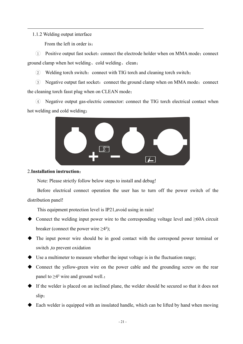#### 1.1.2 Welding output interface

From the left in order is:

 $(1)$  Positive output fast socket: connect the electrode holder when on MMA mode; connect ground clamp when hot welding、cold welding、clean;

2 Welding torch switch: connect with TIG torch and cleaning torch switch;

3 Negative output fast socket: connect the ground clamp when on MMA mode; connect the cleaning torch fasst plug when on CLEAN mode;

4 Negative output gas-electric connector: connect the TIG torch electrical contact when hot welding and cold welding;



#### 2.**Installation instruction**:

Note: Please strictly follow below steps to install and debug!

Before electrical connect operation the user has to turn off the power switch of the distribution panel!

This equipment protection level is IP21,avoid using in rain!

- Connect the welding input power wire to the corresponding voltage level and ≥60A circuit breaker (connect the power wire  $\geq 4^2$ );
- The input power wire should be in good contact with the correspond power terminal or switch ,to prevent oxidation
- Use a multimeter to measure whether the input voltage is in the fluctuation range;
- Connect the yellow-green wire on the power cable and the grounding screw on the rear panel to  $\geq 4^2$  wire and ground well.;
- If the welder is placed on an inclined plane, the welder should be secured so that it does not slip;
- Each welder is equipped with an insulated handle, which can be lifted by hand when moving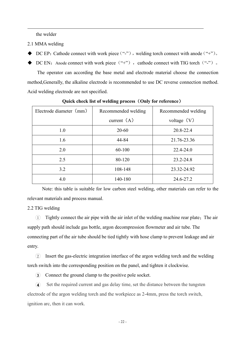the welder

- 2.1 MMA welding
- DC EP: Cathode connect with work piece ("-"), welding torch connect with anode ("+").
- DC EN: Anode connect with work piece  $($ "+"), cathode connect with TIG torch  $($ "-").

The operator can according the base metal and electrode material choose the connection method,Generally, the alkaline electrode is recommended to use DC reverse connection method. Acid welding electrode are not specified.

| Recommended welding<br>Recommended welding<br>current $(A)$<br>voltage $(V)$<br>1.0<br>$20 - 60$<br>20.8-22.4<br>1.6<br>44-84<br>21.76-23.36<br>2.0<br>60-100<br>22.4-24.0<br>2.5<br>80-120<br>$23.2 - 24.8$<br>3.2<br>108-148<br>23.32-24.92<br>4.0<br>140-180<br>24.6-27.2 |                         |  |  |  |
|------------------------------------------------------------------------------------------------------------------------------------------------------------------------------------------------------------------------------------------------------------------------------|-------------------------|--|--|--|
|                                                                                                                                                                                                                                                                              | Electrode diameter (mm) |  |  |  |
|                                                                                                                                                                                                                                                                              |                         |  |  |  |
|                                                                                                                                                                                                                                                                              |                         |  |  |  |
|                                                                                                                                                                                                                                                                              |                         |  |  |  |
|                                                                                                                                                                                                                                                                              |                         |  |  |  |
|                                                                                                                                                                                                                                                                              |                         |  |  |  |
|                                                                                                                                                                                                                                                                              |                         |  |  |  |
|                                                                                                                                                                                                                                                                              |                         |  |  |  |

**Quick check listof welding process**(**Only for reference**)

Note: this table is suitable for low carbon steel welding, other materials can refer to the relevant materials and process manual.

#### 2.2 TIG welding

 $(1)$  Tightly connect the air pipe with the air inlet of the welding machine rear plate; The air supply path should include gas bottle, argon decompression flowmeter and air tube. The connecting part of the air tube should be tied tightly with hose clamp to prevent leakage and air entry.

2 Insert the gas-electric integration interface of the argon welding torch and the welding torch switch into the corresponding position on the panel, and tighten it clockwise.

3 Connect the ground clamp to the positive pole socket.

 $\overline{4}$  Set the required current and gas delay time, set the distance between the tungsten electrode of the argon welding torch and the workpiece as 2-4mm, press the torch switch, ignition arc, then it can work.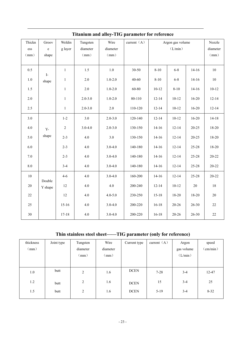| Thickn  | Groov          | Weldin         | Tungsten    | Wire        | current $(A)$ |           | Argon gas volume |           | Nozzle    |  |
|---------|----------------|----------------|-------------|-------------|---------------|-----------|------------------|-----------|-----------|--|
| ess     | $\mathbf e$    | g layer        | diameter    | diameter    |               | (L/min)   |                  |           | diameter  |  |
| (mm)    | shape          |                | (mm)        | (mm)        |               |           |                  |           | (mm)      |  |
|         |                |                |             |             |               |           |                  |           |           |  |
| 0.5     | $\mathbf{I}$ - | $\mathbf{1}$   | 1.5         | $1.0\,$     | 30-50         | $8 - 10$  | $6 - 8$          | $14-16$   | $10\,$    |  |
| $1.0\,$ | shape          | $\mathbf{1}$   | $2.0$       | $1.0 - 2.0$ | 40-60         | $8 - 10$  | $6 - 8$          | $14-16$   | $10\,$    |  |
| 1.5     |                | $\mathbf{1}$   | 2.0         | $1.0 - 2.0$ | 60-80         | $10 - 12$ | $8 - 10$         | $14-16$   | $10-12$   |  |
| $2.0\,$ |                | $\mathbf{1}$   | $2.0 - 3.0$ | $1.0 - 2.0$ | 80-110        | $12 - 14$ | $10 - 12$        | $16 - 20$ | $12 - 14$ |  |
| 2.5     |                | $\mathbf{1}$   | $2.0 - 3.0$ | 2.0         | 110-120       | $12 - 14$ | $10-12$          | $16 - 20$ | $12 - 14$ |  |
| 3.0     |                | $1 - 2$        | 3.0         | $2.0 - 3.0$ | 120-140       | $12 - 14$ | $10-12$          | $16 - 20$ | $14 - 18$ |  |
| $4.0\,$ | $Y -$          | $\overline{2}$ | $3.0 - 4.0$ | $2.0 - 3.0$ | 130-150       | $14-16$   | $12 - 14$        | $20 - 25$ | 18-20     |  |
| 5.0     | shape          | $2 - 3$        | 4.0         | 3.0         | 130-150       | $14 - 16$ | $12 - 14$        | $20 - 25$ | 18-20     |  |
| 6.0     |                | $2 - 3$        | $4.0\,$     | $3.0 - 4.0$ | 140-180       | $14 - 16$ | $12 - 14$        | 25-28     | 18-20     |  |
| 7.0     |                | $2 - 3$        | $4.0\,$     | $3.0 - 4.0$ | 140-180       | $14 - 16$ | $12 - 14$        | 25-28     | $20 - 22$ |  |
| $8.0\,$ |                | $3-4$          | $4.0\,$     | $3.0 - 4.0$ | 140-180       | $14-16$   | $12 - 14$        | $25 - 28$ | $20 - 22$ |  |
| 10      | Double         | $4 - 6$        | 4.0         | $3.0 - 4.0$ | 160-200       | $14-16$   | $12 - 14$        | 25-28     | $20 - 22$ |  |
| 20      | Y shape        | 12             | $4.0\,$     | 4.0         | 200-240       | $12 - 14$ | $10 - 12$        | $20\,$    | 18        |  |
| $22\,$  |                | 12             | $4.0\,$     | $4.0 - 5.0$ | 230-250       | $15 - 18$ | 18-20            | 18-20     | $20\,$    |  |
| 25      |                | $15 - 16$      | $4.0\,$     | $3.0 - 4.0$ | 200-220       | $16 - 18$ | $20 - 26$        | $26 - 30$ | 22        |  |
| 30      |                | $17 - 18$      | 4.0         | $3.0 - 4.0$ | 200-220       | $16 - 18$ | $20 - 26$        | $26 - 30$ | 22        |  |

#### **Titanium and alloy-TIG parameter for reference**

## **Thin stainless steelsheet——TIG parameter (only for reference)**

| thickness<br>(mm) | Joint type | Tungsten<br>diameter<br>(mm) | Wire<br>diameter<br>(mm) | Current type | current $(A)$ | Argon<br>gas volume<br>(L/min) | speed<br>$\text{(cm/min)}$ |
|-------------------|------------|------------------------------|--------------------------|--------------|---------------|--------------------------------|----------------------------|
| 1.0               | butt       | 2                            | 1.6                      | <b>DCEN</b>  | $7 - 28$      | $3 - 4$                        | 12-47                      |
| 1.2               | butt       | 2                            | 1.6                      | <b>DCEN</b>  | 15            | $3 - 4$                        | 25                         |
| 1.5               | butt       | 2                            | 1.6                      | <b>DCEN</b>  | $5-19$        | $3 - 4$                        | $8 - 32$                   |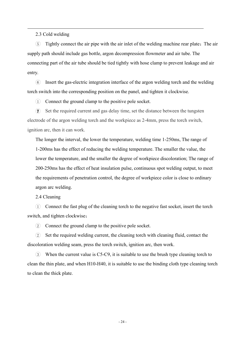2.3 Cold welding

5 Tightly connect the air pipe with the air inlet of the welding machine rear plate;The air supply path should include gas bottle, argon decompression flowmeter and air tube. The connecting part of the air tube should be tied tightly with hose clamp to prevent leakage and air entry.

6 Insert the gas-electric integration interface of the argon welding torch and the welding torch switch into the corresponding position on the panel, and tighten it clockwise.

 $(1)$  Connect the ground clamp to the positive pole socket.

 $\widehat{7}$  Set the required current and gas delay time, set the distance between the tungsten electrode of the argon welding torch and the workpiece as 2-4mm, press the torch switch, ignition arc, then it can work.

The longer the interval, the lower the temperature, welding time 1-250ms, The range of 1-200ms has the effect of reducing the welding temperature. The smaller the value, the lower the temperature, and the smaller the degree of workpiece discoloration; The range of 200-250ms has the effect of heat insulation pulse, continuous spot welding output, to meet the requirements of penetration control, the degree of workpiece color is close to ordinary argon arc welding.

2.4 Cleaning

1 Connect the fast plug of the cleaning torch to the negative fast socket, insert the torch switch, and tighten clockwise;

2 Connect the ground clamp to the positive pole socket.

2 Setthe required welding current, the cleaning torch with cleaning fluid, contact the discoloration welding seam, press the torch switch, ignition arc, then work.

 $\Omega$  When the current value is C5-C9, it is suitable to use the brush type cleaning torch to clean the thin plate, and when H10-H40, it is suitable to use the binding cloth type cleaning torch to clean the thick plate.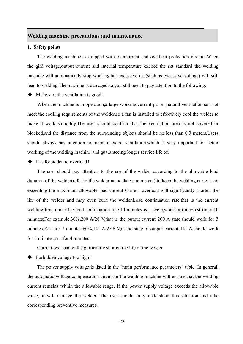#### **Welding machine precautions and maintenance**

#### **1. Safety points**

The welding machine is quipped with overcurrent and overheat protection circuits. When the gird voltage,output current and internal temperature exceed the set standard the welding machine will automatically stop working,but excessive use(such as excessive voltage) will still lead to welding,The machine is damaged,so you still need to pay attention to the following:

Make sure the ventilation is good!

When the machine is in operation,a large working current passes,natural ventilation can not meet the cooling requirements of the welder, so a fan is installed to effectively cool the welder to make it work smoothly.The user should confirm that the ventilation area is not covered or blocked,and the distance from the surrounding objects should be no less than 0.3 meters.Users should always pay attention to maintain good ventilation.which is very important for better working of the welding machine and guaranteeing longer service life of.

It is forbidden to overload!

The user should pay attention to the use of the welder according to the allowable load duration of the welder(refer to the welder nameplate parameters) to keep the welding current not exceeding the maximum allowable load current Current overload will significantly shorten the life of the welder and may even burn the welder.Load continuation rate:that is the current welding time under the load continuation rate,10 minutes is a cycle,working time+rest time=10 minutes;For example,30%,200 A/28 V,that is the output current 200 A state,should work for 3 minutes.Rest for 7 minutes;60%,141 A/25.6 V,in the state of output current 141 A,should work for 5 minutes,rest for 4 minutes.

Current overload will significantly shorten the life of the welder

Forbidden voltage too high!

The power supply voltage is listed in the "main performance parameters" table. In general, the automatic voltage compensation circuit in the welding machine will ensure that the welding current remains within the allowable range. If the power supply voltage exceeds the allowable value, it will damage the welder. The user should fully understand this situation and take corresponding preventive measures。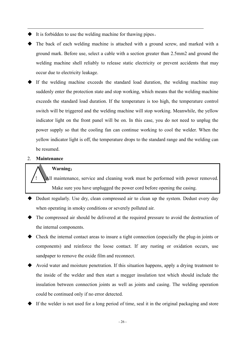- It is forbidden to use the welding machine for thawing pipes。
- The back of each welding machine is attached with a ground screw, and marked with a ground mark. Before use, select a cable with a section greater than 2.5mm2 and ground the welding machine shell reliably to release static electricity or prevent accidents that may occur due to electricity leakage.
- If the welding machine exceeds the standard load duration, the welding machine may suddenly enter the protection state and stop working, which means that the welding machine exceeds the standard load duration. If the temperature is too high, the temperature control switch will be triggered and the welding machine will stop working. Meanwhile, the yellow indicator light on the front panel will be on. In this case, you do not need to unplug the power supply so that the cooling fan can continue working to cool the welder. When the yellow indicator light is off, the temperature drops to the standard range and the welding can be resumed.

#### 2. **Maintenance**

#### **Warning**:

All maintenance, service and cleaning work must be performed with power removed. Make sure you have unplugged the power cord before opening the casing.

- Dedust regularly. Use dry, clean compressed air to clean up the system. Dedust every day when operating in smoky conditions or severely polluted air.
- The compressed air should be delivered at the required pressure to avoid the destruction of the internal components.
- Check the internal contact areas to insure a tight connection (especially the plug-in joints or components) and reinforce the loose contact. If any rusting or oxidation occurs, use sandpaper to remove the oxide film and reconnect.
- Avoid water and moisture penetration. If this situation happens, apply a drying treatment to the inside of the welder and then starta megger insulation test which should include the insulation between connection joints as well as joints and casing. The welding operation could be continued only if no error detected.
- If the welder is not used for a long period of time, seal it in the original packaging and store